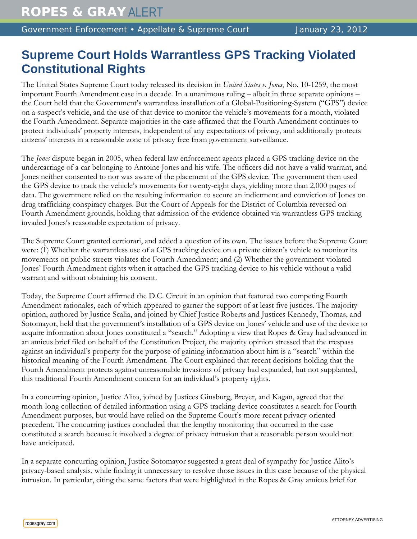## **Supreme Court Holds Warrantless GPS Tracking Violated Constitutional Rights**

The United States Supreme Court today released its decision in *United States v. Jones*, No. 10-1259, the most important Fourth Amendment case in a decade. In a unanimous ruling – albeit in three separate opinions – the Court held that the Government's warrantless installation of a Global-Positioning-System ("GPS") device on a suspect's vehicle, and the use of that device to monitor the vehicle's movements for a month, violated the Fourth Amendment. Separate majorities in the case affirmed that the Fourth Amendment continues to protect individuals' property interests, independent of any expectations of privacy, and additionally protects citizens' interests in a reasonable zone of privacy free from government surveillance.

The *Jones* dispute began in 2005, when federal law enforcement agents placed a GPS tracking device on the undercarriage of a car belonging to Antoine Jones and his wife. The officers did not have a valid warrant, and Jones neither consented to nor was aware of the placement of the GPS device. The government then used the GPS device to track the vehicle's movements for twenty-eight days, yielding more than 2,000 pages of data. The government relied on the resulting information to secure an indictment and conviction of Jones on drug trafficking conspiracy charges. But the Court of Appeals for the District of Columbia reversed on Fourth Amendment grounds, holding that admission of the evidence obtained via warrantless GPS tracking invaded Jones's reasonable expectation of privacy.

The Supreme Court granted certiorari, and added a question of its own. The issues before the Supreme Court were: (1) Whether the warrantless use of a GPS tracking device on a private citizen's vehicle to monitor its movements on public streets violates the Fourth Amendment; and (2) Whether the government violated Jones' Fourth Amendment rights when it attached the GPS tracking device to his vehicle without a valid warrant and without obtaining his consent.

Today, the Supreme Court affirmed the D.C. Circuit in an opinion that featured two competing Fourth Amendment rationales, each of which appeared to garner the support of at least five justices. The majority opinion, authored by Justice Scalia, and joined by Chief Justice Roberts and Justices Kennedy, Thomas, and Sotomayor, held that the government's installation of a GPS device on Jones' vehicle and use of the device to acquire information about Jones constituted a "search." Adopting a view that Ropes & Gray had advanced in an amicus brief filed on behalf of the Constitution Project, the majority opinion stressed that the trespass against an individual's property for the purpose of gaining information about him is a "search" within the historical meaning of the Fourth Amendment. The Court explained that recent decisions holding that the Fourth Amendment protects against unreasonable invasions of privacy had expanded, but not supplanted, this traditional Fourth Amendment concern for an individual's property rights.

In a concurring opinion, Justice Alito, joined by Justices Ginsburg, Breyer, and Kagan, agreed that the month-long collection of detailed information using a GPS tracking device constitutes a search for Fourth Amendment purposes, but would have relied on the Supreme Court's more recent privacy-oriented precedent. The concurring justices concluded that the lengthy monitoring that occurred in the case constituted a search because it involved a degree of privacy intrusion that a reasonable person would not have anticipated.

In a separate concurring opinion, Justice Sotomayor suggested a great deal of sympathy for Justice Alito's privacy-based analysis, while finding it unnecessary to resolve those issues in this case because of the physical intrusion. In particular, citing the same factors that were highlighted in the Ropes & Gray amicus brief for